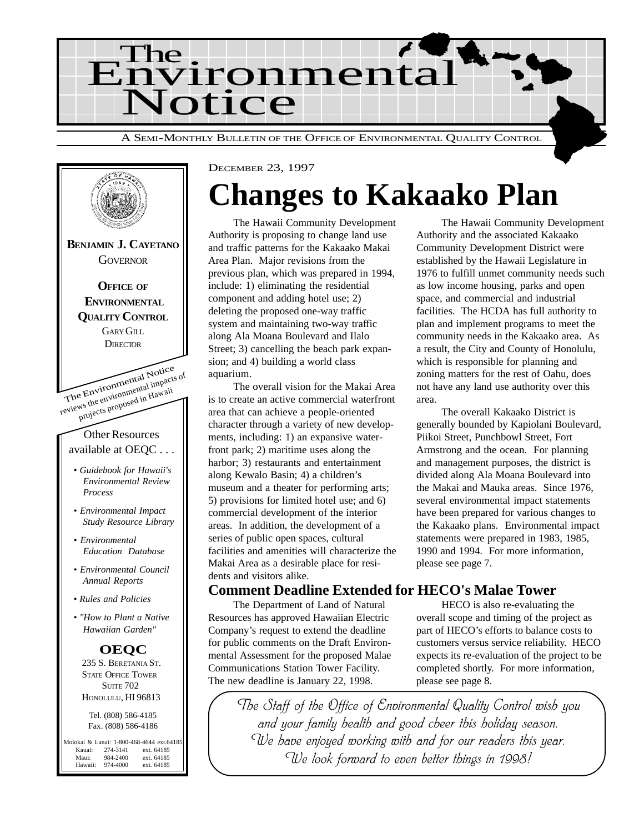



## **Changes to Kakaako Plan**

The Hawaii Community Development Authority is proposing to change land use and traffic patterns for the Kakaako Makai Area Plan. Major revisions from the previous plan, which was prepared in 1994, include: 1) eliminating the residential component and adding hotel use; 2) deleting the proposed one-way traffic system and maintaining two-way traffic along Ala Moana Boulevard and Ilalo Street; 3) cancelling the beach park expansion; and 4) building a world class aquarium.

The overall vision for the Makai Area is to create an active commercial waterfront area that can achieve a people-oriented character through a variety of new developments, including: 1) an expansive waterfront park; 2) maritime uses along the harbor; 3) restaurants and entertainment along Kewalo Basin; 4) a children's museum and a theater for performing arts; 5) provisions for limited hotel use; and 6) commercial development of the interior areas. In addition, the development of a series of public open spaces, cultural facilities and amenities will characterize the Makai Area as a desirable place for residents and visitors alike.

The Hawaii Community Development Authority and the associated Kakaako Community Development District were established by the Hawaii Legislature in 1976 to fulfill unmet community needs such as low income housing, parks and open space, and commercial and industrial facilities. The HCDA has full authority to plan and implement programs to meet the community needs in the Kakaako area. As a result, the City and County of Honolulu, which is responsible for planning and zoning matters for the rest of Oahu, does not have any land use authority over this area.

The overall Kakaako District is generally bounded by Kapiolani Boulevard, Piikoi Street, Punchbowl Street, Fort Armstrong and the ocean. For planning and management purposes, the district is divided along Ala Moana Boulevard into the Makai and Mauka areas. Since 1976, several environmental impact statements have been prepared for various changes to the Kakaako plans. Environmental impact statements were prepared in 1983, 1985, 1990 and 1994. For more information, please see page 7.

### **Comment Deadline Extended for HECO's Malae Tower**

The Department of Land of Natural Resources has approved Hawaiian Electric Company's request to extend the deadline for public comments on the Draft Environmental Assessment for the proposed Malae Communications Station Tower Facility. The new deadline is January 22, 1998.

HECO is also re-evaluating the overall scope and timing of the project as part of HECO's efforts to balance costs to customers versus service reliability. HECO expects its re-evaluation of the project to be completed shortly. For more information, please see page 8.

The Staff of the Office of Environmental Quality Control wish you and your family health and good cheer this holiday season. We have enjoyed working with and for our readers this year. We look forward to even better things in 1998!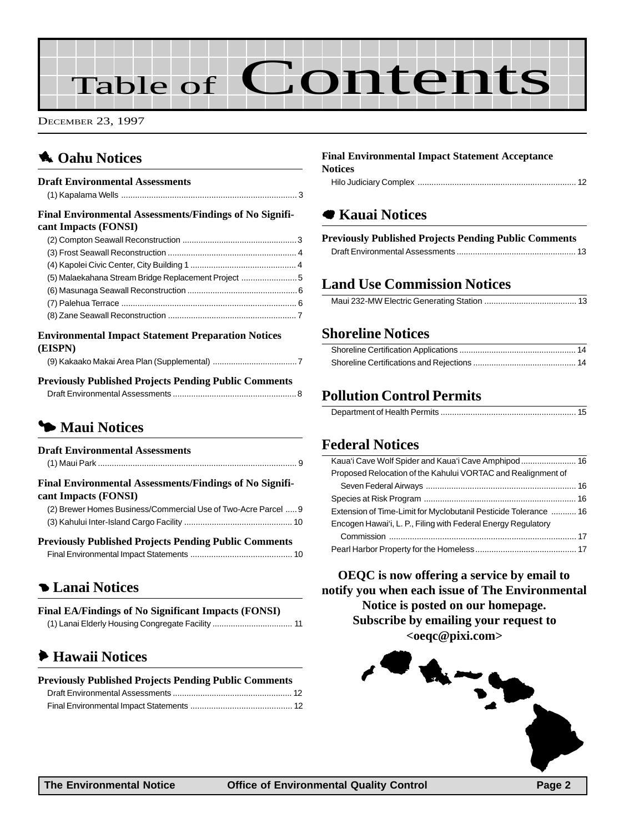# Table of Contents

DECEMBER 23, 1997

## **1** Oahu Notices

#### **Draft Environmental Assessments**

## [\(1\) Kapalama Wells ............................................................................ 3](#page-2-0)

#### **Final Environmental Assessments/Findings of No Significant Impacts (FONSI)**

| (5) Malaekahana Stream Bridge Replacement Project 5 |  |
|-----------------------------------------------------|--|
|                                                     |  |
|                                                     |  |
|                                                     |  |

#### **Environmental Impact Statement Preparation Notices (EISPN)**

|--|

#### **Previously Published Projects Pending Public Comments** [Draft Environmental Assessments ......................................................8](#page-7-0)

## 3 **Maui Notices**

| <b>Draft Environmental Assessments</b>                                          |
|---------------------------------------------------------------------------------|
| Final Environmental Assessments/Findings of No Signifi-<br>cant Impacts (FONSI) |
| (2) Brewer Homes Business/Commercial Use of Two-Acre Parcel  9                  |
|                                                                                 |
| <b>Previously Published Projects Pending Public Comments</b>                    |
|                                                                                 |
| <b>Canal Notices</b>                                                            |
| <b>Final EA/Findings of No Significant Impacts (FONSI)</b>                      |

| $r$ mai e $A/r$ munigs of iyo sigmiicant impacts (FOI) $s$ 1) |  |
|---------------------------------------------------------------|--|
|                                                               |  |

## 6 **Hawaii Notices**

| <b>Previously Published Projects Pending Public Comments</b> |  |
|--------------------------------------------------------------|--|
|                                                              |  |
|                                                              |  |

#### **Final Environmental Impact Statement Acceptance Notices**

|--|--|--|

## 7 **Kauai Notices**

## **Previously Published Projects Pending Public Comments**

## **Land Use Commission Notices**

|--|

#### **Shoreline Notices**

## **Pollution Control Permits**

|--|

## **Federal Notices**

| Proposed Relocation of the Kahului VORTAC and Realignment of     |  |
|------------------------------------------------------------------|--|
|                                                                  |  |
|                                                                  |  |
| Extension of Time-Limit for Myclobutanil Pesticide Tolerance  16 |  |
| Encogen Hawai'i, L. P., Filing with Federal Energy Regulatory    |  |
|                                                                  |  |
|                                                                  |  |

**OEQC is now offering a service by email to notify you when each issue of The Environmental Notice is posted on our homepage. Subscribe by emailing your request to <oeqc@pixi.com>**

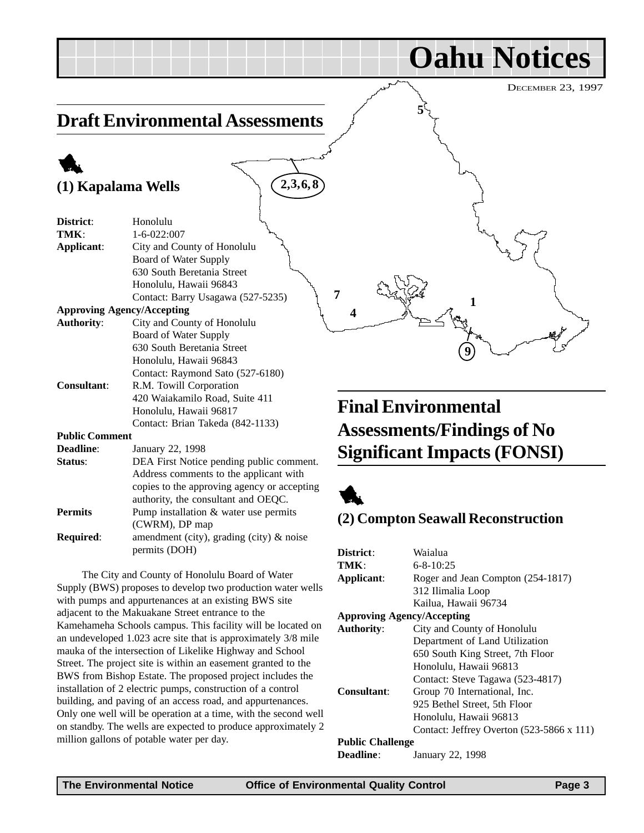**Oahu Notices**

**5**

## <span id="page-2-0"></span>**Draft Environmental Assessments**

## 1 **(1) Kapalama Wells**

| District:             | Honolulu                                    |
|-----------------------|---------------------------------------------|
| TMK:                  | $1 - 6 - 022:007$                           |
| Applicant:            | City and County of Honolulu                 |
|                       | Board of Water Supply                       |
|                       | 630 South Beretania Street                  |
|                       | Honolulu, Hawaii 96843                      |
|                       | Contact: Barry Usagawa (527-5235)           |
|                       | <b>Approving Agency/Accepting</b>           |
| <b>Authority:</b>     | City and County of Honolulu                 |
|                       | Board of Water Supply                       |
|                       | 630 South Beretania Street                  |
|                       | Honolulu, Hawaii 96843                      |
|                       | Contact: Raymond Sato (527-6180)            |
| <b>Consultant:</b>    | R.M. Towill Corporation                     |
|                       | 420 Waiakamilo Road, Suite 411              |
|                       | Honolulu, Hawaii 96817                      |
|                       | Contact: Brian Takeda (842-1133)            |
| <b>Public Comment</b> |                                             |
| <b>Deadline:</b>      | January 22, 1998                            |
| Status:               | DEA First Notice pending public comment.    |
|                       | Address comments to the applicant with      |
|                       | copies to the approving agency or accepting |
|                       | authority, the consultant and OEQC.         |
| <b>Permits</b>        | Pump installation $&$ water use permits     |
|                       | (CWRM), DP map                              |
| Required:             | amendment (city), grading (city) & noise    |
|                       | permits (DOH)                               |

The City and County of Honolulu Board of Water Supply (BWS) proposes to develop two production water wells with pumps and appurtenances at an existing BWS site adjacent to the Makuakane Street entrance to the Kamehameha Schools campus. This facility will be located on an undeveloped 1.023 acre site that is approximately 3/8 mile mauka of the intersection of Likelike Highway and School Street. The project site is within an easement granted to the BWS from Bishop Estate. The proposed project includes the installation of 2 electric pumps, construction of a control building, and paving of an access road, and appurtenances. Only one well will be operation at a time, with the second well on standby. The wells are expected to produce approximately 2 million gallons of potable water per day.

## **Final Environmental Assessments/Findings of No Significant Impacts (FONSI)**

**1**

**9**



**4**

**7**

**2,3, 6, 8**

### **(2) Compton Seawall Reconstruction**

| Waialua                                          |
|--------------------------------------------------|
| $6 - 8 - 10:25$                                  |
| Roger and Jean Compton (254-1817)                |
| 312 Ilimalia Loop                                |
| Kailua, Hawaii 96734                             |
| <b>Approving Agency/Accepting</b>                |
| City and County of Honolulu                      |
| Department of Land Utilization                   |
| 650 South King Street, 7th Floor                 |
| Honolulu, Hawaii 96813                           |
| Contact: Steve Tagawa (523-4817)                 |
| Group 70 International, Inc.                     |
| 925 Bethel Street, 5th Floor                     |
| Honolulu, Hawaii 96813                           |
| Contact: Jeffrey Overton $(523-5866 \times 111)$ |
| <b>Public Challenge</b>                          |
| January 22, 1998                                 |
|                                                  |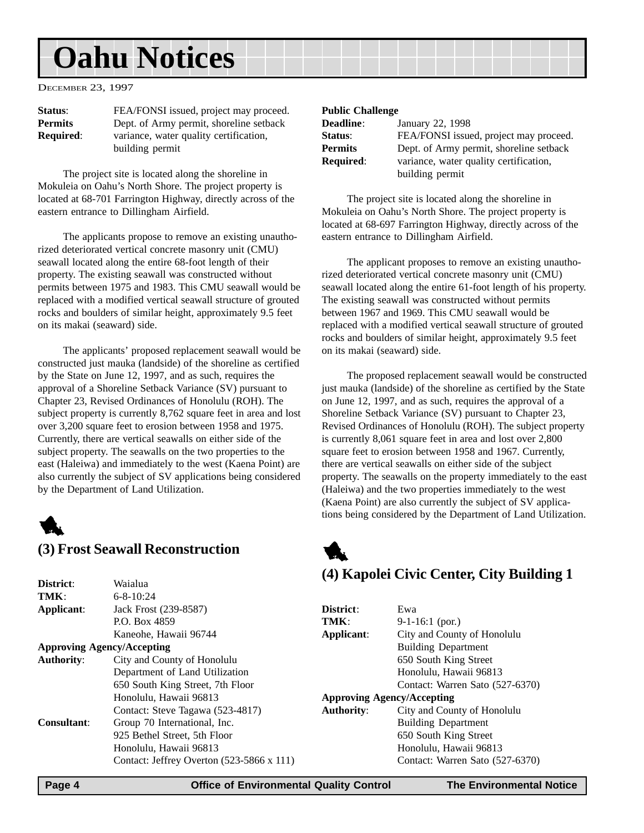## <span id="page-3-0"></span>**Oahu Notices**

DECEMBER 23, 1997

| Status:          | FEA/FONSI issued, project may proceed.  |
|------------------|-----------------------------------------|
| <b>Permits</b>   | Dept. of Army permit, shoreline setback |
| <b>Required:</b> | variance, water quality certification,  |
|                  | building permit                         |

The project site is located along the shoreline in Mokuleia on Oahu's North Shore. The project property is located at 68-701 Farrington Highway, directly across of the eastern entrance to Dillingham Airfield.

The applicants propose to remove an existing unauthorized deteriorated vertical concrete masonry unit (CMU) seawall located along the entire 68-foot length of their property. The existing seawall was constructed without permits between 1975 and 1983. This CMU seawall would be replaced with a modified vertical seawall structure of grouted rocks and boulders of similar height, approximately 9.5 feet on its makai (seaward) side.

The applicants' proposed replacement seawall would be constructed just mauka (landside) of the shoreline as certified by the State on June 12, 1997, and as such, requires the approval of a Shoreline Setback Variance (SV) pursuant to Chapter 23, Revised Ordinances of Honolulu (ROH). The subject property is currently 8,762 square feet in area and lost over 3,200 square feet to erosion between 1958 and 1975. Currently, there are vertical seawalls on either side of the subject property. The seawalls on the two properties to the east (Haleiwa) and immediately to the west (Kaena Point) are also currently the subject of SV applications being considered by the Department of Land Utilization.



### **(3) Frost Seawall Reconstruction**

 $6.910 \cdot 24$ 

**District:** Waialua<br> **TMK:** 6.9.10.2

#### **Public Challenge**

| <b>Deadline</b> : | January 22, 1998                        |
|-------------------|-----------------------------------------|
| Status:           | FEA/FONSI issued, project may proceed.  |
| Permits           | Dept. of Army permit, shoreline setback |
| <b>Required:</b>  | variance, water quality certification,  |
|                   | building permit                         |

The project site is located along the shoreline in Mokuleia on Oahu's North Shore. The project property is located at 68-697 Farrington Highway, directly across of the eastern entrance to Dillingham Airfield.

The applicant proposes to remove an existing unauthorized deteriorated vertical concrete masonry unit (CMU) seawall located along the entire 61-foot length of his property. The existing seawall was constructed without permits between 1967 and 1969. This CMU seawall would be replaced with a modified vertical seawall structure of grouted rocks and boulders of similar height, approximately 9.5 feet on its makai (seaward) side.

The proposed replacement seawall would be constructed just mauka (landside) of the shoreline as certified by the State on June 12, 1997, and as such, requires the approval of a Shoreline Setback Variance (SV) pursuant to Chapter 23, Revised Ordinances of Honolulu (ROH). The subject property is currently 8,061 square feet in area and lost over 2,800 square feet to erosion between 1958 and 1967. Currently, there are vertical seawalls on either side of the subject property. The seawalls on the property immediately to the east (Haleiwa) and the two properties immediately to the west (Kaena Point) are also currently the subject of SV applications being considered by the Department of Land Utilization.



### **(4) Kapolei Civic Center, City Building 1**

|                                   | 17 17 117. <del></del>                           |                   |                                   |
|-----------------------------------|--------------------------------------------------|-------------------|-----------------------------------|
| Applicant:                        | Jack Frost (239-8587)                            | District:         | Ewa                               |
|                                   | P.O. Box 4859                                    | TMK:              | $9-1-16:1$ (por.)                 |
|                                   | Kaneohe, Hawaii 96744                            | Applicant:        | City and County of Honolulu       |
| <b>Approving Agency/Accepting</b> |                                                  |                   | <b>Building Department</b>        |
| <b>Authority:</b>                 | City and County of Honolulu                      |                   | 650 South King Street             |
|                                   | Department of Land Utilization                   |                   | Honolulu, Hawaii 96813            |
|                                   | 650 South King Street, 7th Floor                 |                   | Contact: Warren Sato (527-6370)   |
|                                   | Honolulu, Hawaii 96813                           |                   | <b>Approving Agency/Accepting</b> |
|                                   | Contact: Steve Tagawa (523-4817)                 | <b>Authority:</b> | City and County of Honolulu       |
| <b>Consultant:</b>                | Group 70 International, Inc.                     |                   | <b>Building Department</b>        |
|                                   | 925 Bethel Street, 5th Floor                     |                   | 650 South King Street             |
|                                   | Honolulu, Hawaii 96813                           |                   | Honolulu, Hawaii 96813            |
|                                   | Contact: Jeffrey Overton $(523-5866 \times 111)$ |                   | Contact: Warren Sato (527-6370)   |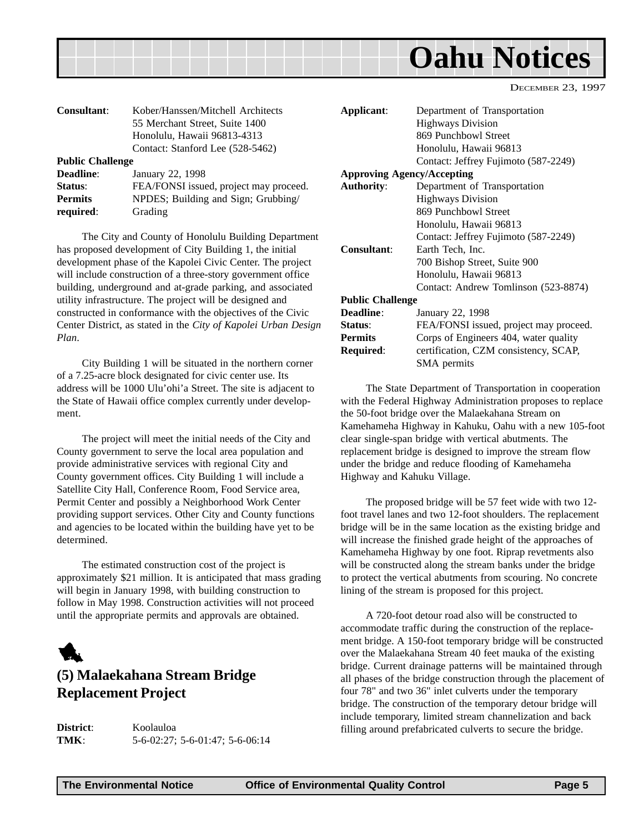<span id="page-4-0"></span>

| <b>Consultant:</b>      | Kober/Hanssen/Mitchell Architects<br>55 Merchant Street, Suite 1400<br>Honolulu, Hawaii 96813-4313<br>Contact: Stanford Lee (528-5462) | Applicant:            |
|-------------------------|----------------------------------------------------------------------------------------------------------------------------------------|-----------------------|
| <b>Public Challenge</b> |                                                                                                                                        |                       |
| Deadline:               | January 22, 1998                                                                                                                       | <b>Approving Age:</b> |
| Status:                 | FEA/FONSI issued, project may proceed.                                                                                                 | <b>Authority:</b>     |
| <b>Permits</b>          | NPDES; Building and Sign; Grubbing/                                                                                                    |                       |
| required:               | Grading                                                                                                                                |                       |

The City and County of Honolulu Building Department has proposed development of City Building 1, the initial development phase of the Kapolei Civic Center. The project will include construction of a three-story government office building, underground and at-grade parking, and associated utility infrastructure. The project will be designed and constructed in conformance with the objectives of the Civic Center District, as stated in the *City of Kapolei Urban Design Plan*.

City Building 1 will be situated in the northern corner of a 7.25-acre block designated for civic center use. Its address will be 1000 Ulu'ohi'a Street. The site is adjacent to the State of Hawaii office complex currently under development.

The project will meet the initial needs of the City and County government to serve the local area population and provide administrative services with regional City and County government offices. City Building 1 will include a Satellite City Hall, Conference Room, Food Service area, Permit Center and possibly a Neighborhood Work Center providing support services. Other City and County functions and agencies to be located within the building have yet to be determined.

The estimated construction cost of the project is approximately \$21 million. It is anticipated that mass grading will begin in January 1998, with building construction to follow in May 1998. Construction activities will not proceed until the appropriate permits and approvals are obtained.



## **(5) Malaekahana Stream Bridge Replacement Project**

**District**: Koolauloa **TMK**: 5-6-02:27; 5-6-01:47; 5-6-06:14

| Applicant:                        | Department of Transportation           |
|-----------------------------------|----------------------------------------|
|                                   | <b>Highways Division</b>               |
|                                   | 869 Punchbowl Street                   |
|                                   | Honolulu, Hawaii 96813                 |
|                                   | Contact: Jeffrey Fujimoto (587-2249)   |
| <b>Approving Agency/Accepting</b> |                                        |
| <b>Authority:</b>                 | Department of Transportation           |
|                                   | <b>Highways Division</b>               |
|                                   | 869 Punchbowl Street                   |
|                                   | Honolulu, Hawaii 96813                 |
|                                   | Contact: Jeffrey Fujimoto (587-2249)   |
| Consultant:                       | Earth Tech, Inc.                       |
|                                   | 700 Bishop Street, Suite 900           |
|                                   | Honolulu, Hawaii 96813                 |
|                                   | Contact: Andrew Tomlinson (523-8874)   |
| <b>Public Challenge</b>           |                                        |
| <b>Deadline:</b>                  | January 22, 1998                       |
| Status:                           | FEA/FONSI issued, project may proceed. |
| <b>Permits</b>                    | Corps of Engineers 404, water quality  |
| Required:                         | certification, CZM consistency, SCAP,  |
|                                   | SMA permits                            |

The State Department of Transportation in cooperation with the Federal Highway Administration proposes to replace the 50-foot bridge over the Malaekahana Stream on Kamehameha Highway in Kahuku, Oahu with a new 105-foot clear single-span bridge with vertical abutments. The replacement bridge is designed to improve the stream flow under the bridge and reduce flooding of Kamehameha Highway and Kahuku Village.

The proposed bridge will be 57 feet wide with two 12 foot travel lanes and two 12-foot shoulders. The replacement bridge will be in the same location as the existing bridge and will increase the finished grade height of the approaches of Kamehameha Highway by one foot. Riprap revetments also will be constructed along the stream banks under the bridge to protect the vertical abutments from scouring. No concrete lining of the stream is proposed for this project.

A 720-foot detour road also will be constructed to accommodate traffic during the construction of the replacement bridge. A 150-foot temporary bridge will be constructed over the Malaekahana Stream 40 feet mauka of the existing bridge. Current drainage patterns will be maintained through all phases of the bridge construction through the placement of four 78" and two 36" inlet culverts under the temporary bridge. The construction of the temporary detour bridge will include temporary, limited stream channelization and back filling around prefabricated culverts to secure the bridge.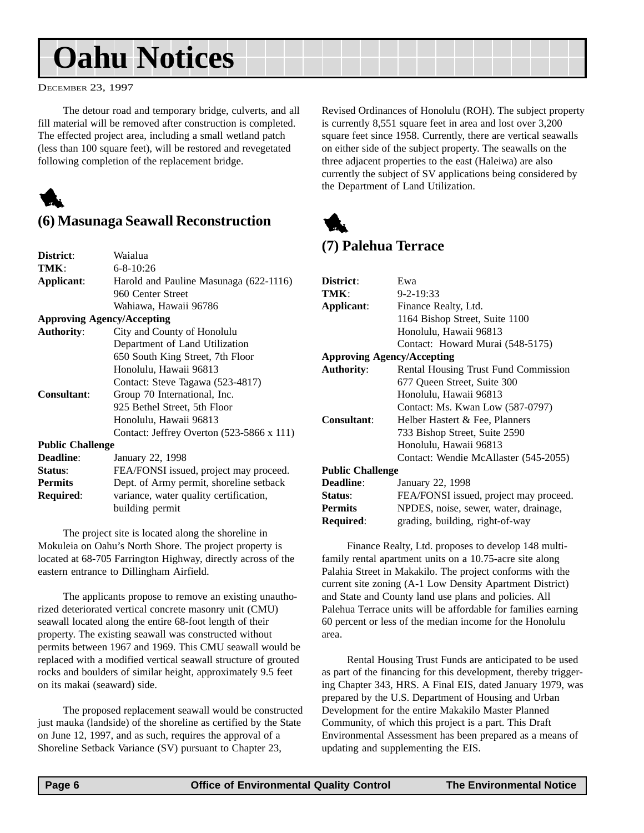## <span id="page-5-0"></span>**Oahu Notices**

DECEMBER 23, 1997

The detour road and temporary bridge, culverts, and all fill material will be removed after construction is completed. The effected project area, including a small wetland patch (less than 100 square feet), will be restored and revegetated following completion of the replacement bridge.



## **(6) Masunaga Seawall Reconstruction**

| District:                         | Waialua                                          |
|-----------------------------------|--------------------------------------------------|
| TMK:                              | $6 - 8 - 10:26$                                  |
| Applicant:                        | Harold and Pauline Masunaga (622-1116)           |
|                                   | 960 Center Street                                |
|                                   | Wahiawa, Hawaii 96786                            |
| <b>Approving Agency/Accepting</b> |                                                  |
| <b>Authority:</b>                 | City and County of Honolulu                      |
|                                   | Department of Land Utilization                   |
|                                   | 650 South King Street, 7th Floor                 |
|                                   | Honolulu, Hawaii 96813                           |
|                                   | Contact: Steve Tagawa (523-4817)                 |
| Consultant:                       | Group 70 International, Inc.                     |
|                                   | 925 Bethel Street, 5th Floor                     |
|                                   | Honolulu, Hawaii 96813                           |
|                                   | Contact: Jeffrey Overton $(523-5866 \times 111)$ |
| <b>Public Challenge</b>           |                                                  |
| <b>Deadline:</b>                  | January 22, 1998                                 |
| Status:                           | FEA/FONSI issued, project may proceed.           |
| <b>Permits</b>                    | Dept. of Army permit, shoreline setback          |
| Required:                         | variance, water quality certification,           |
|                                   | building permit                                  |

The project site is located along the shoreline in Mokuleia on Oahu's North Shore. The project property is located at 68-705 Farrington Highway, directly across of the eastern entrance to Dillingham Airfield.

The applicants propose to remove an existing unauthorized deteriorated vertical concrete masonry unit (CMU) seawall located along the entire 68-foot length of their property. The existing seawall was constructed without permits between 1967 and 1969. This CMU seawall would be replaced with a modified vertical seawall structure of grouted rocks and boulders of similar height, approximately 9.5 feet on its makai (seaward) side.

The proposed replacement seawall would be constructed just mauka (landside) of the shoreline as certified by the State on June 12, 1997, and as such, requires the approval of a Shoreline Setback Variance (SV) pursuant to Chapter 23,

Revised Ordinances of Honolulu (ROH). The subject property is currently 8,551 square feet in area and lost over 3,200 square feet since 1958. Currently, there are vertical seawalls on either side of the subject property. The seawalls on the three adjacent properties to the east (Haleiwa) are also currently the subject of SV applications being considered by the Department of Land Utilization.



## **(7) Palehua Terrace**

| District:                         | Ewa                                    |
|-----------------------------------|----------------------------------------|
| TMK:                              | $9 - 2 - 19:33$                        |
| Applicant:                        | Finance Realty, Ltd.                   |
|                                   | 1164 Bishop Street, Suite 1100         |
|                                   | Honolulu, Hawaii 96813                 |
|                                   | Contact: Howard Murai (548-5175)       |
| <b>Approving Agency/Accepting</b> |                                        |
| <b>Authority:</b>                 | Rental Housing Trust Fund Commission   |
|                                   | 677 Queen Street, Suite 300            |
|                                   | Honolulu, Hawaii 96813                 |
|                                   | Contact: Ms. Kwan Low (587-0797)       |
| <b>Consultant:</b>                | Helber Hastert & Fee, Planners         |
|                                   | 733 Bishop Street, Suite 2590          |
|                                   | Honolulu, Hawaii 96813                 |
|                                   | Contact: Wendie McAllaster (545-2055)  |
| <b>Public Challenge</b>           |                                        |
| <b>Deadline:</b>                  | January 22, 1998                       |
| Status:                           | FEA/FONSI issued, project may proceed. |
| <b>Permits</b>                    | NPDES, noise, sewer, water, drainage,  |
| Required:                         | grading, building, right-of-way        |

Finance Realty, Ltd. proposes to develop 148 multifamily rental apartment units on a 10.75-acre site along Palahia Street in Makakilo. The project conforms with the current site zoning (A-1 Low Density Apartment District) and State and County land use plans and policies. All Palehua Terrace units will be affordable for families earning 60 percent or less of the median income for the Honolulu area.

Rental Housing Trust Funds are anticipated to be used as part of the financing for this development, thereby triggering Chapter 343, HRS. A Final EIS, dated January 1979, was prepared by the U.S. Department of Housing and Urban Development for the entire Makakilo Master Planned Community, of which this project is a part. This Draft Environmental Assessment has been prepared as a means of updating and supplementing the EIS.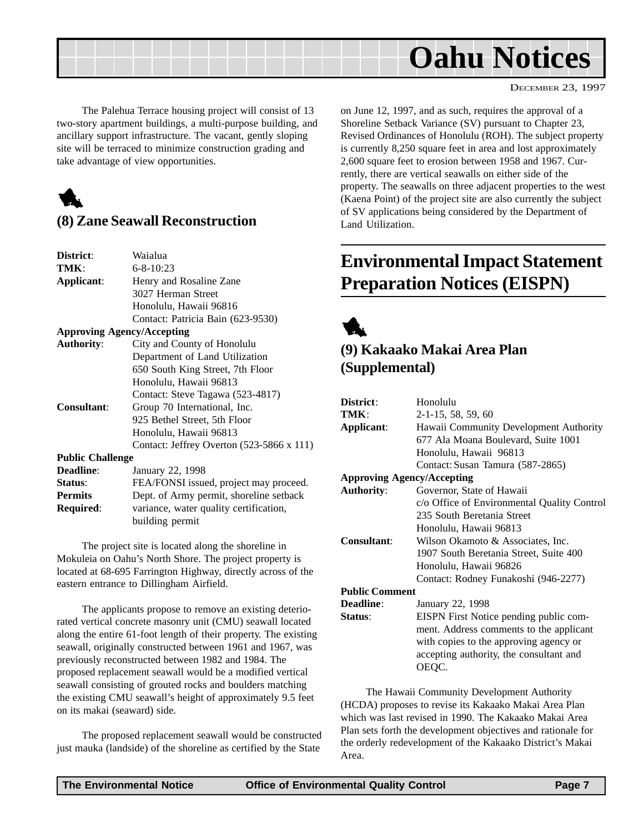<span id="page-6-0"></span>

The Palehua Terrace housing project will consist of 13 two-story apartment buildings, a multi-purpose building, and ancillary support infrastructure. The vacant, gently sloping site will be terraced to minimize construction grading and take advantage of view opportunities.



### **(8) Zane Seawall Reconstruction**

| District:               | Waialua                                          |
|-------------------------|--------------------------------------------------|
| TMK:                    | $6 - 8 - 10:23$                                  |
| Applicant:              | Henry and Rosaline Zane                          |
|                         | 3027 Herman Street                               |
|                         | Honolulu, Hawaii 96816                           |
|                         | Contact: Patricia Bain (623-9530)                |
|                         | <b>Approving Agency/Accepting</b>                |
| <b>Authority:</b>       | City and County of Honolulu                      |
|                         | Department of Land Utilization                   |
|                         | 650 South King Street, 7th Floor                 |
|                         | Honolulu, Hawaii 96813                           |
|                         | Contact: Steve Tagawa (523-4817)                 |
| <b>Consultant:</b>      | Group 70 International, Inc.                     |
|                         | 925 Bethel Street, 5th Floor                     |
|                         | Honolulu, Hawaii 96813                           |
|                         | Contact: Jeffrey Overton $(523-5866 \times 111)$ |
| <b>Public Challenge</b> |                                                  |
| <b>Deadline:</b>        | January 22, 1998                                 |
| Status:                 | FEA/FONSI issued, project may proceed.           |
| <b>Permits</b>          | Dept. of Army permit, shoreline setback          |
| Required:               | variance, water quality certification,           |
|                         | building permit                                  |

The project site is located along the shoreline in Mokuleia on Oahu's North Shore. The project property is located at 68-695 Farrington Highway, directly across of the eastern entrance to Dillingham Airfield.

The applicants propose to remove an existing deteriorated vertical concrete masonry unit (CMU) seawall located along the entire 61-foot length of their property. The existing seawall, originally constructed between 1961 and 1967, was previously reconstructed between 1982 and 1984. The proposed replacement seawall would be a modified vertical seawall consisting of grouted rocks and boulders matching the existing CMU seawall's height of approximately 9.5 feet on its makai (seaward) side.

The proposed replacement seawall would be constructed just mauka (landside) of the shoreline as certified by the State on June 12, 1997, and as such, requires the approval of a Shoreline Setback Variance (SV) pursuant to Chapter 23, Revised Ordinances of Honolulu (ROH). The subject property is currently 8,250 square feet in area and lost approximately 2,600 square feet to erosion between 1958 and 1967. Currently, there are vertical seawalls on either side of the property. The seawalls on three adjacent properties to the west (Kaena Point) of the project site are also currently the subject of SV applications being considered by the Department of Land Utilization.

## **Environmental Impact Statement Preparation Notices (EISPN)**



## **(9) Kakaako Makai Area Plan (Supplemental)**

| District:                         | Honolulu                                    |
|-----------------------------------|---------------------------------------------|
| TMK:                              | 2-1-15, 58, 59, 60                          |
| Applicant:                        | Hawaii Community Development Authority      |
|                                   | 677 Ala Moana Boulevard, Suite 1001         |
|                                   | Honolulu, Hawaii 96813                      |
|                                   | Contact: Susan Tamura (587-2865)            |
| <b>Approving Agency/Accepting</b> |                                             |
| <b>Authority:</b>                 | Governor, State of Hawaii                   |
|                                   | c/o Office of Environmental Quality Control |
|                                   | 235 South Beretania Street                  |
|                                   | Honolulu, Hawaii 96813                      |
| <b>Consultant:</b>                | Wilson Okamoto & Associates, Inc.           |
|                                   | 1907 South Beretania Street, Suite 400      |
|                                   | Honolulu, Hawaii 96826                      |
|                                   | Contact: Rodney Funakoshi (946-2277)        |
| <b>Public Comment</b>             |                                             |
| <b>Deadline:</b>                  | January 22, 1998                            |
| Status:                           | EISPN First Notice pending public com-      |
|                                   | ment. Address comments to the applicant     |
|                                   | with copies to the approving agency or      |
|                                   | accepting authority, the consultant and     |
|                                   | OEOC.                                       |

The Hawaii Community Development Authority (HCDA) proposes to revise its Kakaako Makai Area Plan which was last revised in 1990. The Kakaako Makai Area Plan sets forth the development objectives and rationale for the orderly redevelopment of the Kakaako District's Makai Area.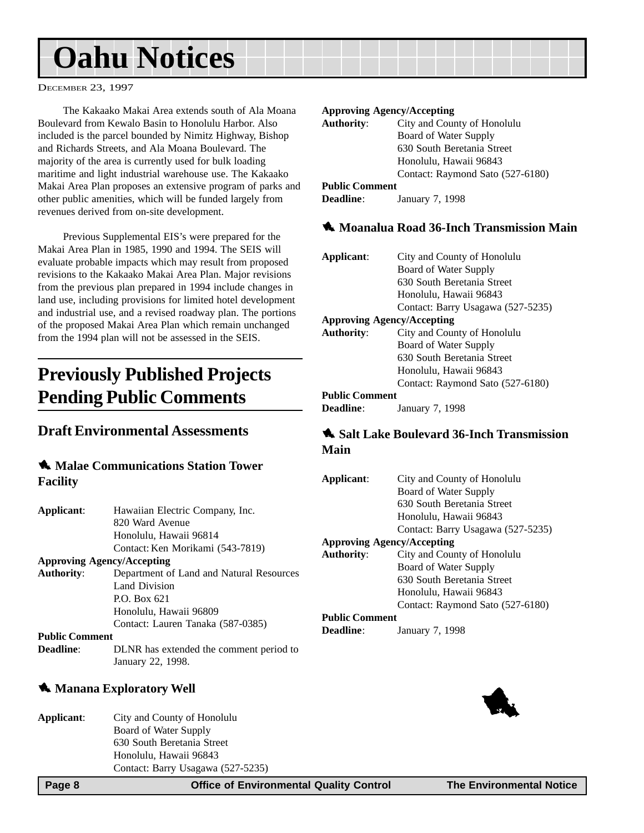## <span id="page-7-0"></span>**Oahu Notices**

DECEMBER 23, 1997

The Kakaako Makai Area extends south of Ala Moana Boulevard from Kewalo Basin to Honolulu Harbor. Also included is the parcel bounded by Nimitz Highway, Bishop and Richards Streets, and Ala Moana Boulevard. The majority of the area is currently used for bulk loading maritime and light industrial warehouse use. The Kakaako Makai Area Plan proposes an extensive program of parks and other public amenities, which will be funded largely from revenues derived from on-site development.

Previous Supplemental EIS's were prepared for the Makai Area Plan in 1985, 1990 and 1994. The SEIS will evaluate probable impacts which may result from proposed revisions to the Kakaako Makai Area Plan. Major revisions from the previous plan prepared in 1994 include changes in land use, including provisions for limited hotel development and industrial use, and a revised roadway plan. The portions of the proposed Makai Area Plan which remain unchanged from the 1994 plan will not be assessed in the SEIS.

## **Previously Published Projects Pending Public Comments**

#### **Draft Environmental Assessments**

#### $\triangle$  **Malae Communications Station Tower Facility**

| Applicant:        | Hawaiian Electric Company, Inc.          |
|-------------------|------------------------------------------|
|                   | 820 Ward Avenue                          |
|                   | Honolulu, Hawaii 96814                   |
|                   | Contact: Ken Morikami (543-7819)         |
|                   | <b>Approving Agency/Accepting</b>        |
| <b>Authority:</b> | Department of Land and Natural Resources |

Land Division P.O. Box 621 Honolulu, Hawaii 96809 Contact: Lauren Tanaka (587-0385)

#### **Public Comment**

**Deadline:** DLNR has extended the comment period to January 22, 1998.

#### **1** Manana Exploratory Well

| Applicant: | City and County of Honolulu       |
|------------|-----------------------------------|
|            | Board of Water Supply             |
|            | 630 South Beretania Street        |
|            | Honolulu, Hawaii 96843            |
|            | Contact: Barry Usagawa (527-5235) |
|            |                                   |

#### **Approving Agency/Accepting**

| <b>Authority:</b>     | City and County of Honolulu      |
|-----------------------|----------------------------------|
|                       | Board of Water Supply            |
|                       | 630 South Beretania Street       |
|                       | Honolulu, Hawaii 96843           |
|                       | Contact: Raymond Sato (527-6180) |
| <b>Public Comment</b> |                                  |
|                       |                                  |

#### **Deadline**: January 7, 1998

#### **1** Moanalua Road 36-Inch Transmission Main

| Applicant:                        | City and County of Honolulu       |  |  |
|-----------------------------------|-----------------------------------|--|--|
|                                   | Board of Water Supply             |  |  |
|                                   | 630 South Beretania Street        |  |  |
|                                   | Honolulu, Hawaii 96843            |  |  |
|                                   | Contact: Barry Usagawa (527-5235) |  |  |
| <b>Approving Agency/Accepting</b> |                                   |  |  |
| <b>Authority:</b>                 | City and County of Honolulu       |  |  |
|                                   | Board of Water Supply             |  |  |
|                                   | 630 South Beretania Street        |  |  |
|                                   | Honolulu, Hawaii 96843            |  |  |
|                                   | Contact: Raymond Sato (527-6180)  |  |  |
| <b>Public Comment</b>             |                                   |  |  |
| <b>Deadline:</b>                  | January 7, 1998                   |  |  |

#### 1 **Salt Lake Boulevard 36-Inch Transmission Main**

| Applicant:                        | City and County of Honolulu       |  |  |
|-----------------------------------|-----------------------------------|--|--|
|                                   | Board of Water Supply             |  |  |
|                                   | 630 South Beretania Street        |  |  |
|                                   | Honolulu, Hawaii 96843            |  |  |
|                                   | Contact: Barry Usagawa (527-5235) |  |  |
| <b>Approving Agency/Accepting</b> |                                   |  |  |
| <b>Authority:</b>                 | City and County of Honolulu       |  |  |
|                                   | Board of Water Supply             |  |  |
|                                   | 630 South Beretania Street        |  |  |
|                                   | Honolulu, Hawaii 96843            |  |  |
|                                   | Contact: Raymond Sato (527-6180)  |  |  |
| <b>Public Comment</b>             |                                   |  |  |
| Deadline:                         | January 7, 1998                   |  |  |

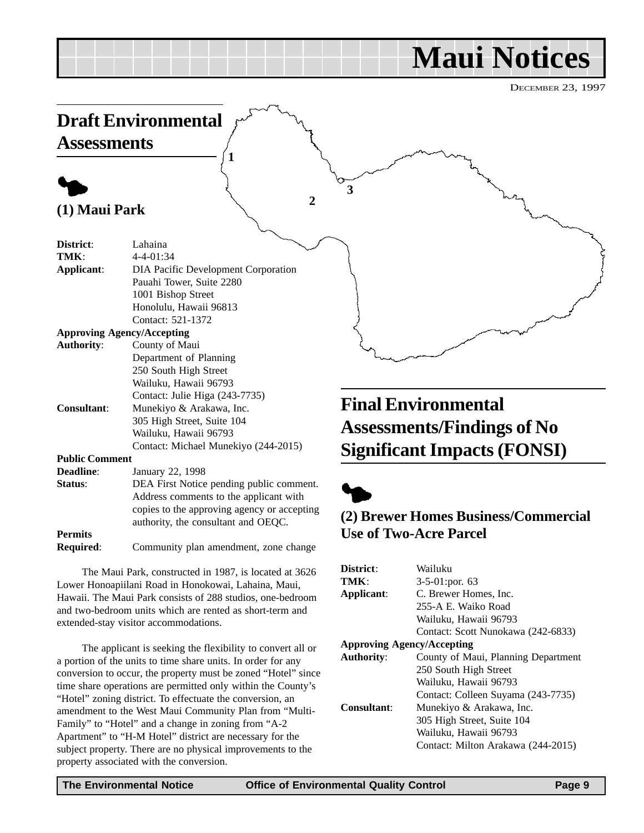## **Maui Notices**

DECEMBER 23, 1997

<span id="page-8-0"></span>

Lower Honoapiilani Road in Honokowai, Lahaina, Maui, Hawaii. The Maui Park consists of 288 studios, one-bedroom and two-bedroom units which are rented as short-term and extended-stay visitor accommodations.

The applicant is seeking the flexibility to convert all or a portion of the units to time share units. In order for any conversion to occur, the property must be zoned "Hotel" since time share operations are permitted only within the County's "Hotel" zoning district. To effectuate the conversion, an amendment to the West Maui Community Plan from "Multi-Family" to "Hotel" and a change in zoning from "A-2 Apartment" to "H-M Hotel" district are necessary for the subject property. There are no physical improvements to the property associated with the conversion.

#### **TMK**: 3-5-01:por. 63 **Applicant**: C. Brewer Homes, Inc. 255-A E. Waiko Road Wailuku, Hawaii 96793 Contact: Scott Nunokawa (242-6833) **Approving Agency/Accepting Authority**: County of Maui, Planning Department 250 South High Street Wailuku, Hawaii 96793 Contact: Colleen Suyama (243-7735) **Consultant**: Munekiyo & Arakawa, Inc. 305 High Street, Suite 104 Wailuku, Hawaii 96793 Contact: Milton Arakawa (244-2015)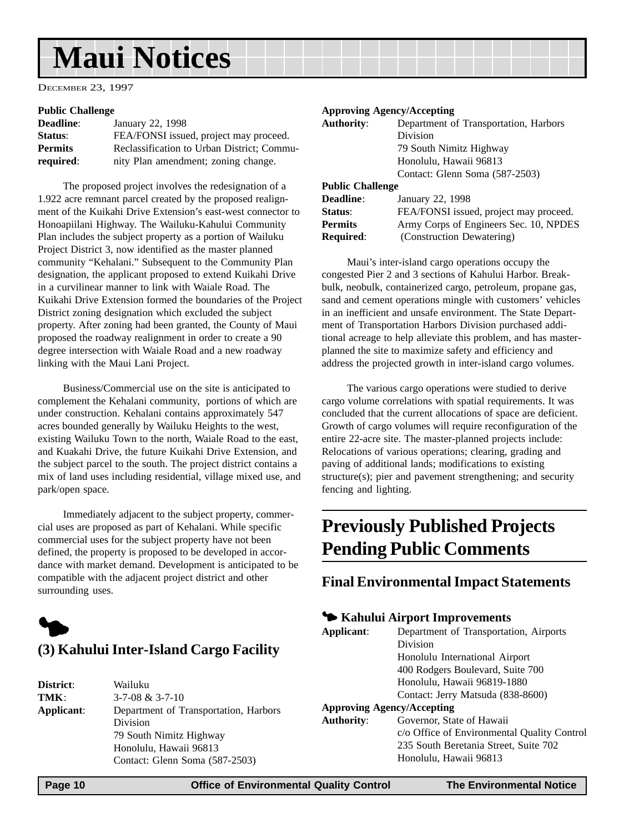## <span id="page-9-0"></span>**Maui Notices**

DECEMBER 23, 1997

#### **Public Challenge**

| <b>Deadline:</b> | January 22, 1998                           |
|------------------|--------------------------------------------|
| Status:          | FEA/FONSI issued, project may proceed.     |
| <b>Permits</b>   | Reclassification to Urban District; Commu- |
| required:        | nity Plan amendment; zoning change.        |

The proposed project involves the redesignation of a 1.922 acre remnant parcel created by the proposed realignment of the Kuikahi Drive Extension's east-west connector to Honoapiilani Highway. The Wailuku-Kahului Community Plan includes the subject property as a portion of Wailuku Project District 3, now identified as the master planned community "Kehalani." Subsequent to the Community Plan designation, the applicant proposed to extend Kuikahi Drive in a curvilinear manner to link with Waiale Road. The Kuikahi Drive Extension formed the boundaries of the Project District zoning designation which excluded the subject property. After zoning had been granted, the County of Maui proposed the roadway realignment in order to create a 90 degree intersection with Waiale Road and a new roadway linking with the Maui Lani Project.

Business/Commercial use on the site is anticipated to complement the Kehalani community, portions of which are under construction. Kehalani contains approximately 547 acres bounded generally by Wailuku Heights to the west, existing Wailuku Town to the north, Waiale Road to the east, and Kuakahi Drive, the future Kuikahi Drive Extension, and the subject parcel to the south. The project district contains a mix of land uses including residential, village mixed use, and park/open space.

Immediately adjacent to the subject property, commercial uses are proposed as part of Kehalani. While specific commercial uses for the subject property have not been defined, the property is proposed to be developed in accordance with market demand. Development is anticipated to be compatible with the adjacent project district and other surrounding uses.



| District:  | Wailuku                               |
|------------|---------------------------------------|
| TMK:       | $3 - 7 - 08 & 3 - 7 - 10$             |
| Applicant: | Department of Transportation, Harbors |
|            | Division                              |
|            | 79 South Nimitz Highway               |
|            | Honolulu, Hawaii 96813                |
|            | Contact: Glenn Soma (587-2503)        |
|            |                                       |

#### **Approving Agency/Accepting**

| <b>Authority:</b>       | Department of Transportation, Harbors |  |
|-------------------------|---------------------------------------|--|
|                         | Division                              |  |
|                         | 79 South Nimitz Highway               |  |
|                         | Honolulu, Hawaii 96813                |  |
|                         | Contact: Glenn Soma (587-2503)        |  |
| <b>Public Challenge</b> |                                       |  |
| <b>Deadline:</b>        | January 22, 1998                      |  |

| реациис.         | Jaliual y 22, 1990                     |
|------------------|----------------------------------------|
| Status:          | FEA/FONSI issued, project may proceed. |
| <b>Permits</b>   | Army Corps of Engineers Sec. 10, NPDES |
| <b>Required:</b> | (Construction Dewatering)              |

Maui's inter-island cargo operations occupy the congested Pier 2 and 3 sections of Kahului Harbor. Breakbulk, neobulk, containerized cargo, petroleum, propane gas, sand and cement operations mingle with customers' vehicles in an inefficient and unsafe environment. The State Department of Transportation Harbors Division purchased additional acreage to help alleviate this problem, and has masterplanned the site to maximize safety and efficiency and address the projected growth in inter-island cargo volumes.

The various cargo operations were studied to derive cargo volume correlations with spatial requirements. It was concluded that the current allocations of space are deficient. Growth of cargo volumes will require reconfiguration of the entire 22-acre site. The master-planned projects include: Relocations of various operations; clearing, grading and paving of additional lands; modifications to existing structure(s); pier and pavement strengthening; and security fencing and lighting.

## **Previously Published Projects Pending Public Comments**

#### **Final Environmental Impact Statements**

#### 3 **Kahului Airport Improvements**

| Applicant:        | Department of Transportation, Airports      |
|-------------------|---------------------------------------------|
|                   | Division                                    |
|                   | Honolulu International Airport              |
|                   | 400 Rodgers Boulevard, Suite 700            |
|                   | Honolulu, Hawaii 96819-1880                 |
|                   | Contact: Jerry Matsuda (838-8600)           |
|                   | <b>Approving Agency/Accepting</b>           |
| <b>Authority:</b> | Governor, State of Hawaii                   |
|                   | c/o Office of Environmental Quality Control |
|                   | 235 South Beretania Street, Suite 702       |
|                   | Honolulu, Hawaii 96813                      |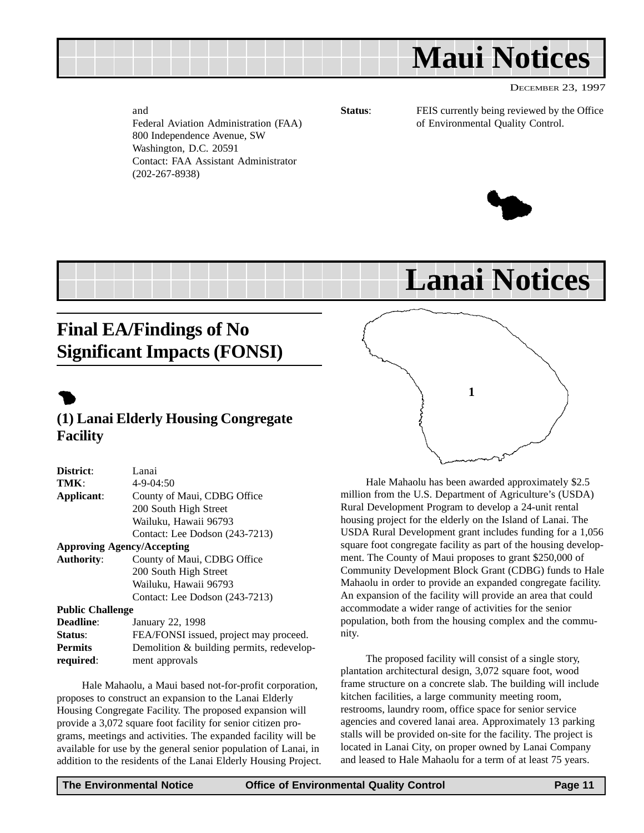<span id="page-10-0"></span>

and Federal Aviation Administration (FAA) 800 Independence Avenue, SW Washington, D.C. 20591 Contact: FAA Assistant Administrator (202-267-8938)

**Status:** FEIS currently being reviewed by the Office of Environmental Quality Control.



**Lanai Notices**

## **Final EA/Findings of No Significant Impacts (FONSI)**

## $\bullet$

### **(1) Lanai Elderly Housing Congregate Facility**

| District:                         | Lanai                          |  |  |
|-----------------------------------|--------------------------------|--|--|
| TMK:                              | $4 - 9 - 04:50$                |  |  |
| Applicant:                        | County of Maui, CDBG Office    |  |  |
|                                   | 200 South High Street          |  |  |
|                                   | Wailuku, Hawaii 96793          |  |  |
|                                   | Contact: Lee Dodson (243-7213) |  |  |
| <b>Approving Agency/Accepting</b> |                                |  |  |
| <b>Authority:</b>                 | County of Maui, CDBG Office    |  |  |
|                                   |                                |  |  |

200 South High Street Wailuku, Hawaii 96793 Contact: Lee Dodson (243-7213)

#### **Public Challenge**

| <b>Deadline:</b> | January 22, 1998                          |
|------------------|-------------------------------------------|
| <b>Status:</b>   | FEA/FONSI issued, project may proceed.    |
| <b>Permits</b>   | Demolition & building permits, redevelop- |
| required:        | ment approvals                            |

Hale Mahaolu, a Maui based not-for-profit corporation, proposes to construct an expansion to the Lanai Elderly Housing Congregate Facility. The proposed expansion will provide a 3,072 square foot facility for senior citizen programs, meetings and activities. The expanded facility will be available for use by the general senior population of Lanai, in addition to the residents of the Lanai Elderly Housing Project.



Hale Mahaolu has been awarded approximately \$2.5 million from the U.S. Department of Agriculture's (USDA) Rural Development Program to develop a 24-unit rental housing project for the elderly on the Island of Lanai. The USDA Rural Development grant includes funding for a 1,056 square foot congregate facility as part of the housing development. The County of Maui proposes to grant \$250,000 of Community Development Block Grant (CDBG) funds to Hale Mahaolu in order to provide an expanded congregate facility. An expansion of the facility will provide an area that could accommodate a wider range of activities for the senior population, both from the housing complex and the community.

The proposed facility will consist of a single story, plantation architectural design, 3,072 square foot, wood frame structure on a concrete slab. The building will include kitchen facilities, a large community meeting room, restrooms, laundry room, office space for senior service agencies and covered lanai area. Approximately 13 parking stalls will be provided on-site for the facility. The project is located in Lanai City, on proper owned by Lanai Company and leased to Hale Mahaolu for a term of at least 75 years.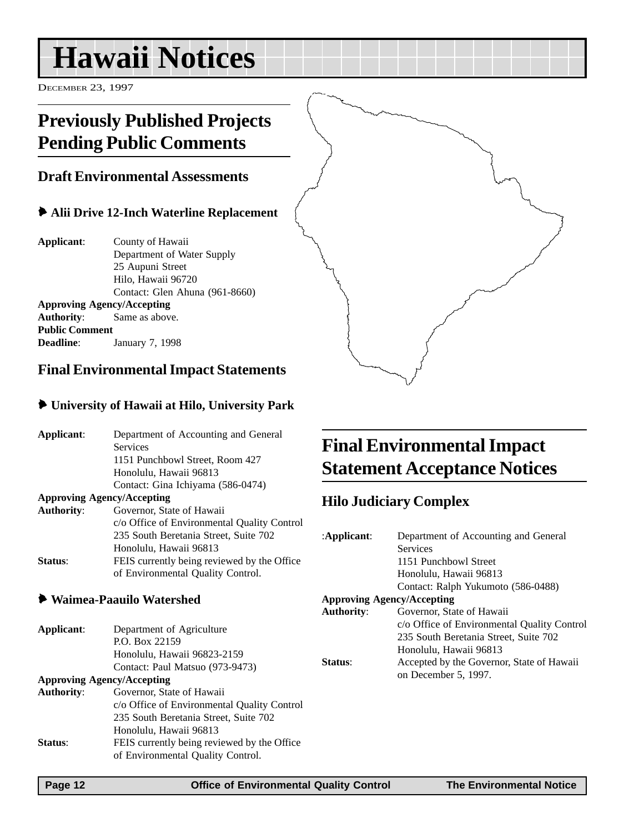## <span id="page-11-0"></span>**Hawaii Notices**

DECEMBER 23, 1997

## **Previously Published Projects Pending Public Comments**

### **Draft Environmental Assessments**

### 6 **Alii Drive 12-Inch Waterline Replacement**

**Applicant**: County of Hawaii Department of Water Supply 25 Aupuni Street Hilo, Hawaii 96720 Contact: Glen Ahuna (961-8660) **Approving Agency/Accepting Authority**: Same as above. **Public Comment**

**Deadline**: January 7, 1998

## **Final Environmental Impact Statements**

#### 6 **University of Hawaii at Hilo, University Park**

| Applicant:        | Department of Accounting and General<br><b>Services</b> | <b>Final E</b>                          |
|-------------------|---------------------------------------------------------|-----------------------------------------|
|                   | 1151 Punchbowl Street, Room 427                         |                                         |
|                   | Honolulu, Hawaii 96813                                  | <b>Stateme</b>                          |
|                   | Contact: Gina Ichiyama (586-0474)                       |                                         |
|                   | <b>Approving Agency/Accepting</b>                       |                                         |
| <b>Authority:</b> | Governor, State of Hawaii                               | <b>Hilo Judio</b>                       |
|                   |                                                         |                                         |
|                   | c/o Office of Environmental Quality Control             |                                         |
|                   | 235 South Beretania Street, Suite 702                   | :Applicant:                             |
|                   | Honolulu, Hawaii 96813                                  |                                         |
| Status:           | FEIS currently being reviewed by the Office             |                                         |
|                   | of Environmental Quality Control.                       |                                         |
|                   | <b>Waimea-Paauilo Watershed</b>                         | <b>Approving A</b><br><b>Authority:</b> |
| Applicant:        | Department of Agriculture                               |                                         |
|                   | P.O. Box 22159                                          |                                         |
|                   | Honolulu, Hawaii 96823-2159                             |                                         |
|                   | Contact: Paul Matsuo (973-9473)                         | Status:                                 |
|                   | <b>Approving Agency/Accepting</b>                       |                                         |
| <b>Authority:</b> | Governor, State of Hawaii                               |                                         |
|                   | c/o Office of Environmental Quality Control             |                                         |
|                   | 235 South Beretania Street, Suite 702                   |                                         |
|                   | Honolulu, Hawaii 96813                                  |                                         |
| Status:           | FEIS currently being reviewed by the Office             |                                         |
|                   | of Environmental Quality Control.                       |                                         |
|                   |                                                         |                                         |
|                   |                                                         |                                         |

## **Final Environmental Impact** *State Acceptance Notices*

## **Hilo Complex**

|                                   | :Applicant:       | Department of Accounting and General        |
|-----------------------------------|-------------------|---------------------------------------------|
|                                   |                   | <b>Services</b>                             |
|                                   |                   | 1151 Punchbowl Street                       |
|                                   |                   | Honolulu, Hawaii 96813                      |
|                                   |                   | Contact: Ralph Yukumoto (586-0488)          |
| <b>Approving Agency/Accepting</b> |                   |                                             |
|                                   | <b>Authority:</b> | Governor, State of Hawaii                   |
|                                   |                   | c/o Office of Environmental Quality Control |
|                                   |                   | 235 South Beretania Street, Suite 702       |
|                                   |                   | Honolulu, Hawaii 96813                      |
|                                   | Status:           | Accepted by the Governor, State of Hawaii   |
|                                   |                   | on December 5, 1997.                        |
|                                   |                   |                                             |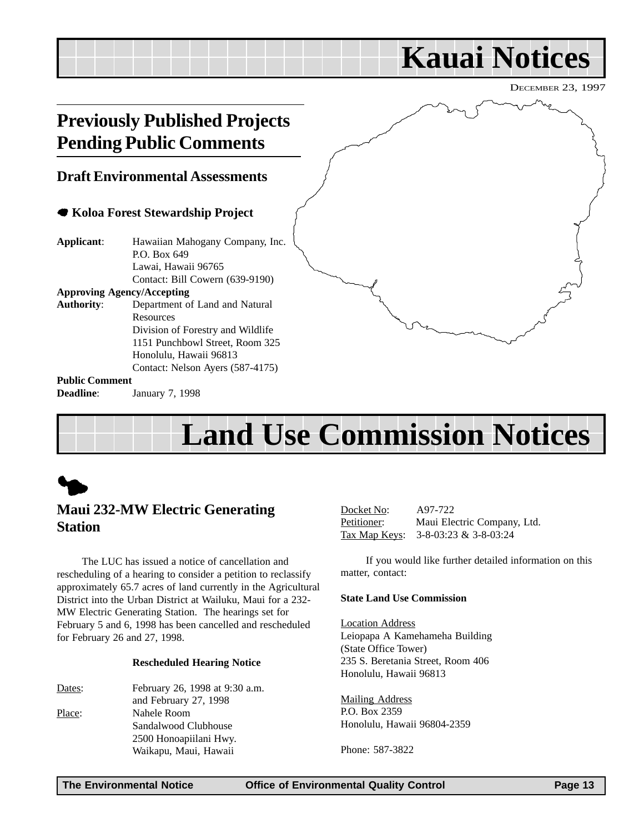## <span id="page-12-0"></span>DECEMBER 23, 1997 **Kauai Notices Previously Published Projects Pending Public Comments Draft Environmental Assessments** 7 **Koloa Forest Stewardship Project Applicant**: Hawaiian Mahogany Company, Inc. P.O. Box 649 Lawai, Hawaii 96765 Contact: Bill Cowern (639-9190) **Approving Agency/Accepting Authority**: Department of Land and Natural **Resources** Division of Forestry and Wildlife 1151 Punchbowl Street, Room 325 Honolulu, Hawaii 96813 Contact: Nelson Ayers (587-4175) **Public Comment Deadline**: January 7, 1998

## **Land Use Commission Notices**

## **Maui 232-MW Electric Generating Station**

The LUC has issued a notice of cancellation and rescheduling of a hearing to consider a petition to reclassify approximately 65.7 acres of land currently in the Agricultural District into the Urban District at Wailuku, Maui for a 232- MW Electric Generating Station. The hearings set for February 5 and 6, 1998 has been cancelled and rescheduled for February 26 and 27, 1998.

#### **Rescheduled Hearing Notice**

Dates: February 26, 1998 at 9:30 a.m. and February 27, 1998 Place: Nahele Room Sandalwood Clubhouse 2500 Honoapiilani Hwy. Waikapu, Maui, Hawaii

Docket No: A97-722 Petitioner: Maui Electric Company, Ltd. Tax Map Keys: 3-8-03:23 & 3-8-03:24

If you would like further detailed information on this matter, contact:

#### **State Land Use Commission**

Location Address Leiopapa A Kamehameha Building (State Office Tower) 235 S. Beretania Street, Room 406 Honolulu, Hawaii 96813

Mailing Address P.O. Box 2359 Honolulu, Hawaii 96804-2359

Phone: 587-3822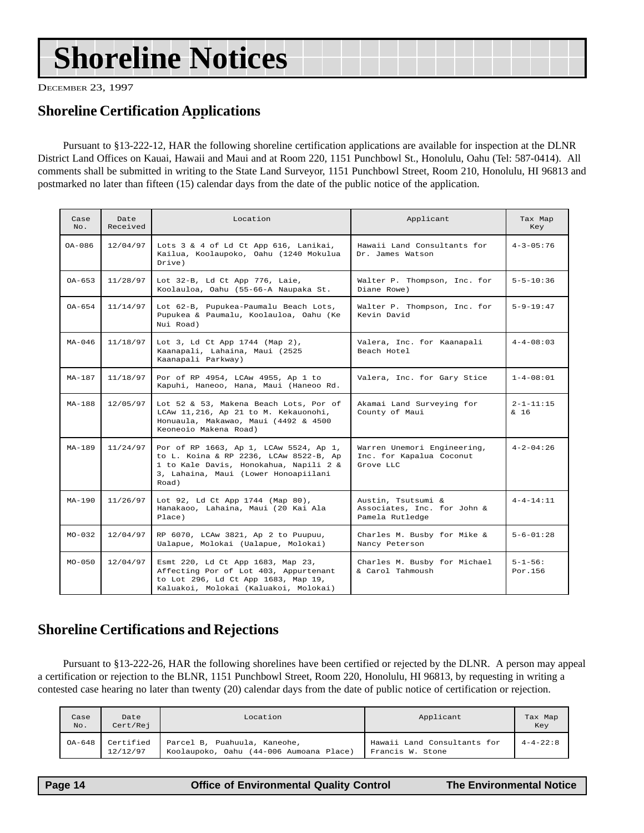## **Shoreline Certification Applications**

Pursuant to §13-222-12, HAR the following shoreline certification applications are available for inspection at the DLNR District Land Offices on Kauai, Hawaii and Maui and at Room 220, 1151 Punchbowl St., Honolulu, Oahu (Tel: 587-0414). All comments shall be submitted in writing to the State Land Surveyor, 1151 Punchbowl Street, Room 210, Honolulu, HI 96813 and postmarked no later than fifteen (15) calendar days from the date of the public notice of the application.

| oreline Certification Applications<br>Pursuant to §13-222-12, HAR the following shoreline certification applications are available for inspection at the DLN<br>trict Land Offices on Kauai, Hawaii and Maui and at Room 220, 1151 Punchbowl St., Honolulu, Oahu (Tel: 587-0414). <i>A</i><br>iments shall be submitted in writing to the State Land Surveyor, 1151 Punchbowl Street, Room 210, Honolulu, HI 96813<br>tmarked no later than fifteen (15) calendar days from the date of the public notice of the application.<br>Location<br>Case<br>Date<br>Applicant<br>No.<br>Received<br>OA-086<br>12/04/97<br>Lots 3 & 4 of Ld Ct App 616, Lanikai,<br>Hawaii Land Consultants for<br>Kailua, Koolaupoko, Oahu (1240 Mokulua<br>Dr. James Watson<br>Drive)<br>$OA - 653$<br>11/28/97<br>Walter P. Thompson, Inc. for<br>Lot 32-B, Ld Ct App 776, Laie,<br>Koolauloa, Oahu (55-66-A Naupaka St.<br>Diane Rowe)<br>11/14/97<br>$OA-654$<br>Lot 62-B, Pupukea-Paumalu Beach Lots,<br>Walter P. Thompson, Inc. for<br>Pupukea & Paumalu, Koolauloa, Oahu (Ke<br>Kevin David<br>Nui Road)<br>$MA-046$<br>11/18/97<br>Lot 3, Ld Ct App 1744 (Map 2),<br>Valera, Inc. for Kaanapali<br>Kaanapali, Lahaina, Maui (2525<br>Beach Hotel<br>Kaanapali Parkway)<br>11/18/97<br>Por of RP 4954, LCAw 4955, Ap 1 to<br>$MA - 187$<br>Valera, Inc. for Gary Stice<br>Kapuhi, Haneoo, Hana, Maui (Haneoo Rd.<br>$MA-188$<br>12/05/97<br>Akamai Land Surveying for<br>Lot 52 & 53, Makena Beach Lots, Por of<br>LCAw 11,216, Ap 21 to M. Kekauonohi,<br>County of Maui<br>Honuaula, Makawao, Maui (4492 & 4500<br>Keoneoio Makena Road)<br>$MA-189$<br>11/24/97<br>Warren Unemori Engineering,<br>Por of RP 1663, Ap 1, LCAw 5524, Ap 1,<br>to L. Koina & RP 2236, LCAw 8522-B, Ap<br>Inc. for Kapalua Coconut<br>1 to Kale Davis, Honokahua, Napili 2 &<br>Grove LLC<br>3, Lahaina, Maui (Lower Honoapiilani<br>Road)<br>11/26/97<br>$MA-190$<br>Lot 92, Ld Ct App 1744 (Map 80),<br>Austin, Tsutsumi &<br>Hanakaoo, Lahaina, Maui (20 Kai Ala<br>Associates, Inc. for John &<br>Pamela Rutledge<br>Place)<br>$MO - 032$<br>12/04/97<br>RP 6070, LCAw 3821, Ap 2 to Puupuu,<br>Charles M. Busby for Mike &<br>Ualapue, Molokai (Ualapue, Molokai)<br>Nancy Peterson<br>$MO - 050$<br>12/04/97<br>Esmt 220, Ld Ct App 1683, Map 23,<br>Charles M. Busby for Michael<br>Affecting Por of Lot 403, Appurtenant<br>& Carol Tahmoush<br>to Lot 296, Ld Ct App 1683, Map 19,<br>Kaluakoi, Molokai (Kaluakoi, Molokai)<br>oreline Certifications and Rejections |                          |  | CEMBER 23, 1997 |
|-----------------------------------------------------------------------------------------------------------------------------------------------------------------------------------------------------------------------------------------------------------------------------------------------------------------------------------------------------------------------------------------------------------------------------------------------------------------------------------------------------------------------------------------------------------------------------------------------------------------------------------------------------------------------------------------------------------------------------------------------------------------------------------------------------------------------------------------------------------------------------------------------------------------------------------------------------------------------------------------------------------------------------------------------------------------------------------------------------------------------------------------------------------------------------------------------------------------------------------------------------------------------------------------------------------------------------------------------------------------------------------------------------------------------------------------------------------------------------------------------------------------------------------------------------------------------------------------------------------------------------------------------------------------------------------------------------------------------------------------------------------------------------------------------------------------------------------------------------------------------------------------------------------------------------------------------------------------------------------------------------------------------------------------------------------------------------------------------------------------------------------------------------------------------------------------------------------------------------------------------------------------------------------------------------------------------------------------------------------------------------------------------------------------------------------------------------------------------------------------------------------------------------------------------|--------------------------|--|-----------------|
|                                                                                                                                                                                                                                                                                                                                                                                                                                                                                                                                                                                                                                                                                                                                                                                                                                                                                                                                                                                                                                                                                                                                                                                                                                                                                                                                                                                                                                                                                                                                                                                                                                                                                                                                                                                                                                                                                                                                                                                                                                                                                                                                                                                                                                                                                                                                                                                                                                                                                                                                               |                          |  |                 |
|                                                                                                                                                                                                                                                                                                                                                                                                                                                                                                                                                                                                                                                                                                                                                                                                                                                                                                                                                                                                                                                                                                                                                                                                                                                                                                                                                                                                                                                                                                                                                                                                                                                                                                                                                                                                                                                                                                                                                                                                                                                                                                                                                                                                                                                                                                                                                                                                                                                                                                                                               |                          |  |                 |
|                                                                                                                                                                                                                                                                                                                                                                                                                                                                                                                                                                                                                                                                                                                                                                                                                                                                                                                                                                                                                                                                                                                                                                                                                                                                                                                                                                                                                                                                                                                                                                                                                                                                                                                                                                                                                                                                                                                                                                                                                                                                                                                                                                                                                                                                                                                                                                                                                                                                                                                                               | Tax Map<br>Key           |  |                 |
|                                                                                                                                                                                                                                                                                                                                                                                                                                                                                                                                                                                                                                                                                                                                                                                                                                                                                                                                                                                                                                                                                                                                                                                                                                                                                                                                                                                                                                                                                                                                                                                                                                                                                                                                                                                                                                                                                                                                                                                                                                                                                                                                                                                                                                                                                                                                                                                                                                                                                                                                               | $4 - 3 - 05 : 76$        |  |                 |
|                                                                                                                                                                                                                                                                                                                                                                                                                                                                                                                                                                                                                                                                                                                                                                                                                                                                                                                                                                                                                                                                                                                                                                                                                                                                                                                                                                                                                                                                                                                                                                                                                                                                                                                                                                                                                                                                                                                                                                                                                                                                                                                                                                                                                                                                                                                                                                                                                                                                                                                                               | $5 - 5 - 10:36$          |  |                 |
|                                                                                                                                                                                                                                                                                                                                                                                                                                                                                                                                                                                                                                                                                                                                                                                                                                                                                                                                                                                                                                                                                                                                                                                                                                                                                                                                                                                                                                                                                                                                                                                                                                                                                                                                                                                                                                                                                                                                                                                                                                                                                                                                                                                                                                                                                                                                                                                                                                                                                                                                               | $5 - 9 - 19:47$          |  |                 |
|                                                                                                                                                                                                                                                                                                                                                                                                                                                                                                                                                                                                                                                                                                                                                                                                                                                                                                                                                                                                                                                                                                                                                                                                                                                                                                                                                                                                                                                                                                                                                                                                                                                                                                                                                                                                                                                                                                                                                                                                                                                                                                                                                                                                                                                                                                                                                                                                                                                                                                                                               | $4 - 4 - 08:03$          |  |                 |
|                                                                                                                                                                                                                                                                                                                                                                                                                                                                                                                                                                                                                                                                                                                                                                                                                                                                                                                                                                                                                                                                                                                                                                                                                                                                                                                                                                                                                                                                                                                                                                                                                                                                                                                                                                                                                                                                                                                                                                                                                                                                                                                                                                                                                                                                                                                                                                                                                                                                                                                                               | $1 - 4 - 08:01$          |  |                 |
|                                                                                                                                                                                                                                                                                                                                                                                                                                                                                                                                                                                                                                                                                                                                                                                                                                                                                                                                                                                                                                                                                                                                                                                                                                                                                                                                                                                                                                                                                                                                                                                                                                                                                                                                                                                                                                                                                                                                                                                                                                                                                                                                                                                                                                                                                                                                                                                                                                                                                                                                               | $2 - 1 - 11:15$<br>& 16  |  |                 |
|                                                                                                                                                                                                                                                                                                                                                                                                                                                                                                                                                                                                                                                                                                                                                                                                                                                                                                                                                                                                                                                                                                                                                                                                                                                                                                                                                                                                                                                                                                                                                                                                                                                                                                                                                                                                                                                                                                                                                                                                                                                                                                                                                                                                                                                                                                                                                                                                                                                                                                                                               | $4 - 2 - 04:26$          |  |                 |
|                                                                                                                                                                                                                                                                                                                                                                                                                                                                                                                                                                                                                                                                                                                                                                                                                                                                                                                                                                                                                                                                                                                                                                                                                                                                                                                                                                                                                                                                                                                                                                                                                                                                                                                                                                                                                                                                                                                                                                                                                                                                                                                                                                                                                                                                                                                                                                                                                                                                                                                                               | $4 - 4 - 14:11$          |  |                 |
|                                                                                                                                                                                                                                                                                                                                                                                                                                                                                                                                                                                                                                                                                                                                                                                                                                                                                                                                                                                                                                                                                                                                                                                                                                                                                                                                                                                                                                                                                                                                                                                                                                                                                                                                                                                                                                                                                                                                                                                                                                                                                                                                                                                                                                                                                                                                                                                                                                                                                                                                               | $5 - 6 - 01:28$          |  |                 |
|                                                                                                                                                                                                                                                                                                                                                                                                                                                                                                                                                                                                                                                                                                                                                                                                                                                                                                                                                                                                                                                                                                                                                                                                                                                                                                                                                                                                                                                                                                                                                                                                                                                                                                                                                                                                                                                                                                                                                                                                                                                                                                                                                                                                                                                                                                                                                                                                                                                                                                                                               | $5 - 1 - 56:$<br>Por.156 |  |                 |
| Pursuant to §13-222-26, HAR the following shorelines have been certified or rejected by the DLNR. A person may apply<br>rtification or rejection to the BLNR, 1151 Punchbowl Street, Room 220, Honolulu, HI 96813, by requesting in writing a<br>tested case hearing no later than twenty (20) calendar days from the date of public notice of certification or rejection.                                                                                                                                                                                                                                                                                                                                                                                                                                                                                                                                                                                                                                                                                                                                                                                                                                                                                                                                                                                                                                                                                                                                                                                                                                                                                                                                                                                                                                                                                                                                                                                                                                                                                                                                                                                                                                                                                                                                                                                                                                                                                                                                                                    |                          |  |                 |

## **Shoreline Certifications and Rejections**

Pursuant to §13-222-26, HAR the following shorelines have been certified or rejected by the DLNR. A person may appeal a certification or rejection to the BLNR, 1151 Punchbowl Street, Room 220, Honolulu, HI 96813, by requesting in writing a contested case hearing no later than twenty (20) calendar days from the date of public notice of certification or rejection.

| Case   | Date                  | Applicant                                                               |                                                 | Tax Map          |
|--------|-----------------------|-------------------------------------------------------------------------|-------------------------------------------------|------------------|
| No.    | Cert/Rej              | Location                                                                |                                                 | Key              |
| OA-648 | Certified<br>12/12/97 | Parcel B, Puahuula, Kaneohe,<br>Koolaupoko, Oahu (44-006 Aumoana Place) | Hawaii Land Consultants for<br>Francis W. Stone | $4 - 4 - 22 : 8$ |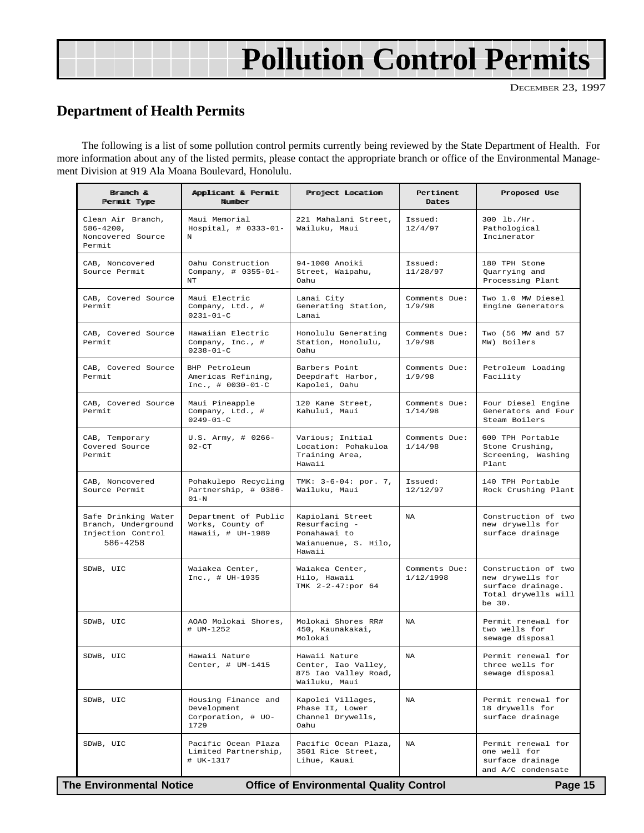## **Pollution Control Permits**

## <span id="page-14-0"></span>**Department of Health Permits**

The following is a list of some pollution control permits currently being reviewed by the State Department of Health. For more information about any of the listed permits, please contact the appropriate branch or office of the Environmental Management Division at 919 Ala Moana Boulevard, Honolulu.

| Branch &<br>Permit Type                                                     | Applicant & Permit<br>Number                                     | Project Location                                                                    | Pertinent<br>Dates         | Proposed Use                                                                                  |
|-----------------------------------------------------------------------------|------------------------------------------------------------------|-------------------------------------------------------------------------------------|----------------------------|-----------------------------------------------------------------------------------------------|
| Clean Air Branch,<br>$586 - 4200$ ,<br>Noncovered Source<br>Permit          | Maui Memorial<br>Hospital, $\#$ 0333-01-<br>N                    | 221 Mahalani Street,<br>Wailuku, Maui                                               | Issued:<br>12/4/97         | 300 lb./Hr.<br>Pathological<br>Incinerator                                                    |
| CAB, Noncovered<br>Source Permit                                            | Oahu Construction<br>Company, # 0355-01-<br>NT.                  | 94-1000 Anoiki<br>Street, Waipahu,<br>Oahu                                          | Issued:<br>11/28/97        | 180 TPH Stone<br>Quarrying and<br>Processing Plant                                            |
| CAB, Covered Source<br>Permit                                               | Maui Electric<br>Company, Ltd., #<br>$0231 - 01 - C$             | Lanai City<br>Generating Station,<br>Lanai                                          | Comments Due:<br>1/9/98    | Two 1.0 MW Diesel<br>Engine Generators                                                        |
| CAB, Covered Source<br>Permit                                               | Hawaiian Electric<br>Company, Inc., #<br>$0238 - 01 - C$         | Honolulu Generating<br>Station, Honolulu,<br>Oahu                                   | Comments Due:<br>1/9/98    | Two (56 MW and 57<br>MW) Boilers                                                              |
| CAB, Covered Source<br>Permit                                               | BHP Petroleum<br>Americas Refining,<br>$Inc.,  # 0030-01-C$      | Barbers Point<br>Deepdraft Harbor,<br>Kapolei, Oahu                                 | Comments Due:<br>1/9/98    | Petroleum Loading<br>Facility                                                                 |
| CAB, Covered Source<br>Permit                                               | Maui Pineapple<br>Company, Ltd., #<br>$0.249 - 0.1 - C$          | 120 Kane Street,<br>Kahului, Maui                                                   | Comments Due:<br>1/14/98   | Four Diesel Engine<br>Generators and Four<br>Steam Boilers                                    |
| CAB, Temporary<br>Covered Source<br>Permit                                  | $U.S.$ Army, # 0266-<br>$0.2 - C T$                              | Various; Initial<br>Location: Pohakuloa<br>Training Area,<br>Hawaii                 | Comments Due:<br>1/14/98   | 600 TPH Portable<br>Stone Crushing,<br>Screening, Washing<br>Plant                            |
| CAB, Noncovered<br>Source Permit                                            | Pohakulepo Recycling<br>Partnership, # 0386-<br>$01 - N$         | TMK: 3-6-04: por. 7,<br>Wailuku, Maui                                               | Issued:<br>12/12/97        | 140 TPH Portable<br>Rock Crushing Plant                                                       |
| Safe Drinking Water<br>Branch, Underground<br>Injection Control<br>586-4258 | Department of Public<br>Works, County of<br>Hawaii, # UH-1989    | Kapiolani Street<br>Resurfacing -<br>Ponahawai to<br>Waianuenue, S. Hilo,<br>Hawaii | NA                         | Construction of two<br>new drywells for<br>surface drainage                                   |
| SDWB, UIC                                                                   | Waiakea Center,<br>$Inc., # UH-1935$                             | Waiakea Center,<br>Hilo, Hawaii<br>TMK 2-2-47:por 64                                | Comments Due:<br>1/12/1998 | Construction of two<br>new drywells for<br>surface drainage.<br>Total drywells will<br>be 30. |
| SDWB, UIC                                                                   | AOAO Molokai Shores,<br># UM-1252                                | Molokai Shores RR#<br>450, Kaunakakai,<br>Molokai                                   | NA                         | Permit renewal for<br>two wells for<br>sewage disposal                                        |
| SDWB, UIC                                                                   | Hawaii Nature<br>Center, # UM-1415                               | Hawaii Nature<br>Center, Iao Valley,<br>875 Iao Valley Road,<br>Wailuku, Maui       | NA                         | Permit renewal for<br>three wells for<br>sewage disposal                                      |
| SDWB, UIC                                                                   | Housing Finance and<br>Development<br>Corporation, # UO-<br>1729 | Kapolei Villages,<br>Phase II, Lower<br>Channel Drywells,<br>Oahu                   | NA                         | Permit renewal for<br>18 drywells for<br>surface drainage                                     |
| SDWB, UIC                                                                   | Pacific Ocean Plaza<br>Limited Partnership,<br># UK-1317         | Pacific Ocean Plaza,<br>3501 Rice Street,<br>Lihue, Kauai                           | NA                         | Permit renewal for<br>one well for<br>surface drainage<br>and A/C condensate                  |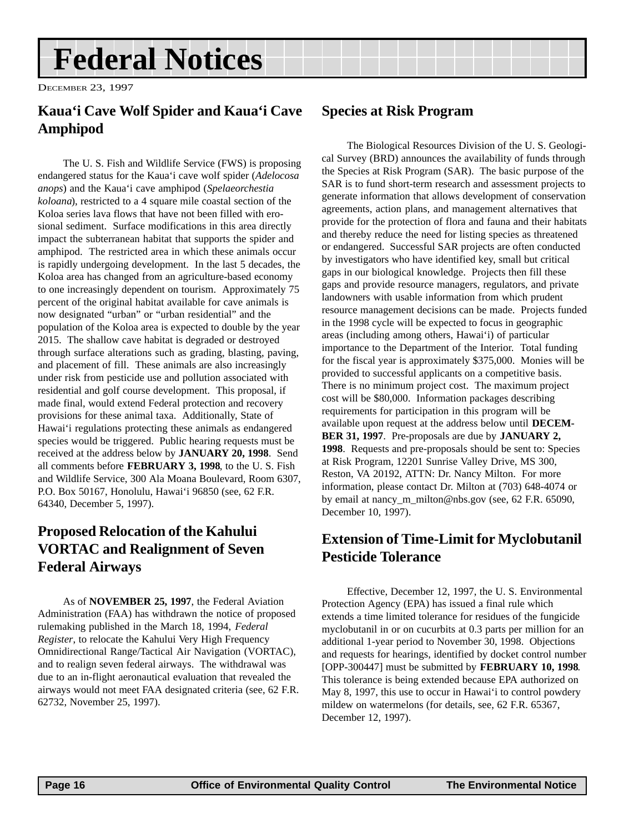## <span id="page-15-0"></span>**Federal Notices**

DECEMBER 23, 1997

## **Kaua'i Cave Wolf Spider and Kaua'i Cave Amphipod**

The U. S. Fish and Wildlife Service (FWS) is proposing endangered status for the Kaua'i cave wolf spider (*Adelocosa anops*) and the Kaua'i cave amphipod (*Spelaeorchestia koloana*), restricted to a 4 square mile coastal section of the Koloa series lava flows that have not been filled with erosional sediment. Surface modifications in this area directly impact the subterranean habitat that supports the spider and amphipod. The restricted area in which these animals occur is rapidly undergoing development. In the last 5 decades, the Koloa area has changed from an agriculture-based economy to one increasingly dependent on tourism. Approximately 75 percent of the original habitat available for cave animals is now designated "urban" or "urban residential" and the population of the Koloa area is expected to double by the year 2015. The shallow cave habitat is degraded or destroyed through surface alterations such as grading, blasting, paving, and placement of fill. These animals are also increasingly under risk from pesticide use and pollution associated with residential and golf course development. This proposal, if made final, would extend Federal protection and recovery provisions for these animal taxa. Additionally, State of Hawai'i regulations protecting these animals as endangered species would be triggered. Public hearing requests must be received at the address below by **JANUARY 20, 1998**. Send all comments before **FEBRUARY 3, 1998**, to the U. S. Fish and Wildlife Service, 300 Ala Moana Boulevard, Room 6307, P.O. Box 50167, Honolulu, Hawai'i 96850 (see, 62 F.R. 64340, December 5, 1997).

## **Proposed Relocation of the Kahului VORTAC and Realignment of Seven Federal Airways**

As of **NOVEMBER 25, 1997**, the Federal Aviation Administration (FAA) has withdrawn the notice of proposed rulemaking published in the March 18, 1994, *Federal Register*, to relocate the Kahului Very High Frequency Omnidirectional Range/Tactical Air Navigation (VORTAC), and to realign seven federal airways. The withdrawal was due to an in-flight aeronautical evaluation that revealed the airways would not meet FAA designated criteria (see, 62 F.R. 62732, November 25, 1997).

## **Species at Risk Program**

The Biological Resources Division of the U. S. Geological Survey (BRD) announces the availability of funds through the Species at Risk Program (SAR). The basic purpose of the SAR is to fund short-term research and assessment projects to generate information that allows development of conservation agreements, action plans, and management alternatives that provide for the protection of flora and fauna and their habitats and thereby reduce the need for listing species as threatened or endangered. Successful SAR projects are often conducted by investigators who have identified key, small but critical gaps in our biological knowledge. Projects then fill these gaps and provide resource managers, regulators, and private landowners with usable information from which prudent resource management decisions can be made. Projects funded in the 1998 cycle will be expected to focus in geographic areas (including among others, Hawai'i) of particular importance to the Department of the Interior. Total funding for the fiscal year is approximately \$375,000. Monies will be provided to successful applicants on a competitive basis. There is no minimum project cost. The maximum project cost will be \$80,000. Information packages describing requirements for participation in this program will be available upon request at the address below until **DECEM-BER 31, 1997**. Pre-proposals are due by **JANUARY 2, 1998**. Requests and pre-proposals should be sent to: Species at Risk Program, 12201 Sunrise Valley Drive, MS 300, Reston, VA 20192, ATTN: Dr. Nancy Milton. For more information, please contact Dr. Milton at (703) 648-4074 or by email at nancy m\_milton@nbs.gov (see, 62 F.R. 65090, December 10, 1997).

## **Extension of Time-Limit for Myclobutanil Pesticide Tolerance**

Effective, December 12, 1997, the U. S. Environmental Protection Agency (EPA) has issued a final rule which extends a time limited tolerance for residues of the fungicide myclobutanil in or on cucurbits at 0.3 parts per million for an additional 1-year period to November 30, 1998. Objections and requests for hearings, identified by docket control number [OPP-300447] must be submitted by **FEBRUARY 10, 1998**. This tolerance is being extended because EPA authorized on May 8, 1997, this use to occur in Hawai'i to control powdery mildew on watermelons (for details, see, 62 F.R. 65367, December 12, 1997).